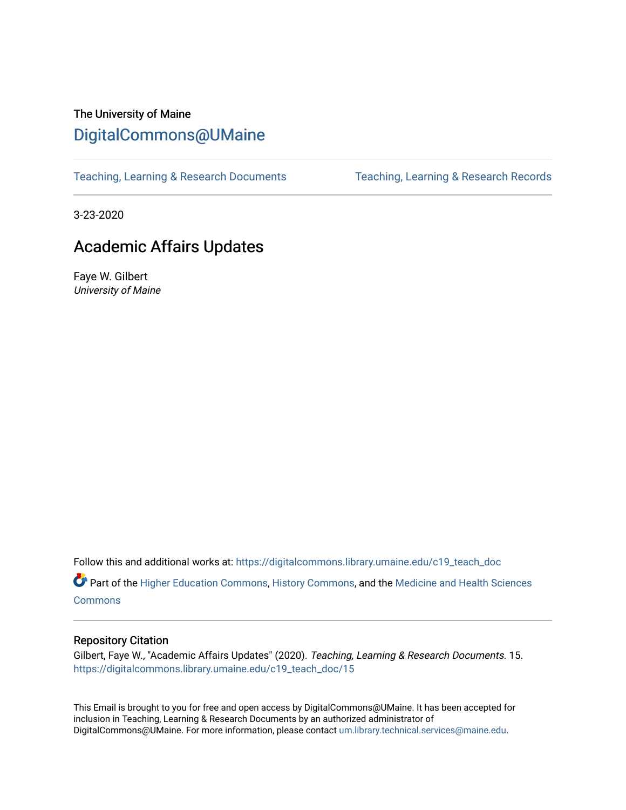## The University of Maine [DigitalCommons@UMaine](https://digitalcommons.library.umaine.edu/)

[Teaching, Learning & Research Documents](https://digitalcommons.library.umaine.edu/c19_teach_doc) [Teaching, Learning & Research Records](https://digitalcommons.library.umaine.edu/c19_teach) 

3-23-2020

## Academic Affairs Updates

Faye W. Gilbert University of Maine

Follow this and additional works at: [https://digitalcommons.library.umaine.edu/c19\\_teach\\_doc](https://digitalcommons.library.umaine.edu/c19_teach_doc?utm_source=digitalcommons.library.umaine.edu%2Fc19_teach_doc%2F15&utm_medium=PDF&utm_campaign=PDFCoverPages)

Part of the [Higher Education Commons,](http://network.bepress.com/hgg/discipline/1245?utm_source=digitalcommons.library.umaine.edu%2Fc19_teach_doc%2F15&utm_medium=PDF&utm_campaign=PDFCoverPages) [History Commons,](http://network.bepress.com/hgg/discipline/489?utm_source=digitalcommons.library.umaine.edu%2Fc19_teach_doc%2F15&utm_medium=PDF&utm_campaign=PDFCoverPages) and the [Medicine and Health Sciences](http://network.bepress.com/hgg/discipline/648?utm_source=digitalcommons.library.umaine.edu%2Fc19_teach_doc%2F15&utm_medium=PDF&utm_campaign=PDFCoverPages)  **[Commons](http://network.bepress.com/hgg/discipline/648?utm_source=digitalcommons.library.umaine.edu%2Fc19_teach_doc%2F15&utm_medium=PDF&utm_campaign=PDFCoverPages)** 

## Repository Citation

Gilbert, Faye W., "Academic Affairs Updates" (2020). Teaching, Learning & Research Documents. 15. [https://digitalcommons.library.umaine.edu/c19\\_teach\\_doc/15](https://digitalcommons.library.umaine.edu/c19_teach_doc/15?utm_source=digitalcommons.library.umaine.edu%2Fc19_teach_doc%2F15&utm_medium=PDF&utm_campaign=PDFCoverPages) 

This Email is brought to you for free and open access by DigitalCommons@UMaine. It has been accepted for inclusion in Teaching, Learning & Research Documents by an authorized administrator of DigitalCommons@UMaine. For more information, please contact [um.library.technical.services@maine.edu](mailto:um.library.technical.services@maine.edu).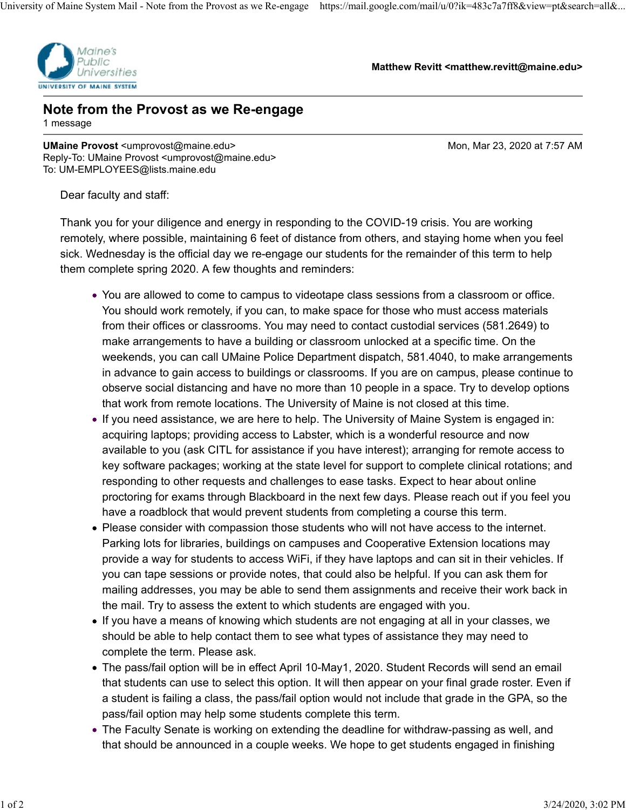

**Matthew Revitt <matthew.revitt@maine.edu>**

## **Note from the Provost as we Re-engage** 1 message

**UMaine Provost** <umprovost@maine.edu> Mon, Mar 23, 2020 at 7:57 AM Reply-To: UMaine Provost <umprovost@maine.edu> To: UM-EMPLOYEES@lists.maine.edu

Dear faculty and staff:

Thank you for your diligence and energy in responding to the COVID-19 crisis. You are working remotely, where possible, maintaining 6 feet of distance from others, and staying home when you feel sick. Wednesday is the official day we re-engage our students for the remainder of this term to help them complete spring 2020. A few thoughts and reminders:

- You are allowed to come to campus to videotape class sessions from a classroom or office. You should work remotely, if you can, to make space for those who must access materials from their offices or classrooms. You may need to contact custodial services (581.2649) to make arrangements to have a building or classroom unlocked at a specific time. On the weekends, you can call UMaine Police Department dispatch, 581.4040, to make arrangements in advance to gain access to buildings or classrooms. If you are on campus, please continue to observe social distancing and have no more than 10 people in a space. Try to develop options that work from remote locations. The University of Maine is not closed at this time.
- If you need assistance, we are here to help. The University of Maine System is engaged in: acquiring laptops; providing access to Labster, which is a wonderful resource and now available to you (ask CITL for assistance if you have interest); arranging for remote access to key software packages; working at the state level for support to complete clinical rotations; and responding to other requests and challenges to ease tasks. Expect to hear about online proctoring for exams through Blackboard in the next few days. Please reach out if you feel you have a roadblock that would prevent students from completing a course this term.
- Please consider with compassion those students who will not have access to the internet. Parking lots for libraries, buildings on campuses and Cooperative Extension locations may provide a way for students to access WiFi, if they have laptops and can sit in their vehicles. If you can tape sessions or provide notes, that could also be helpful. If you can ask them for mailing addresses, you may be able to send them assignments and receive their work back in the mail. Try to assess the extent to which students are engaged with you.
- If you have a means of knowing which students are not engaging at all in your classes, we should be able to help contact them to see what types of assistance they may need to complete the term. Please ask.
- The pass/fail option will be in effect April 10-May1, 2020. Student Records will send an email that students can use to select this option. It will then appear on your final grade roster. Even if a student is failing a class, the pass/fail option would not include that grade in the GPA, so the pass/fail option may help some students complete this term.
- The Faculty Senate is working on extending the deadline for withdraw-passing as well, and that should be announced in a couple weeks. We hope to get students engaged in finishing